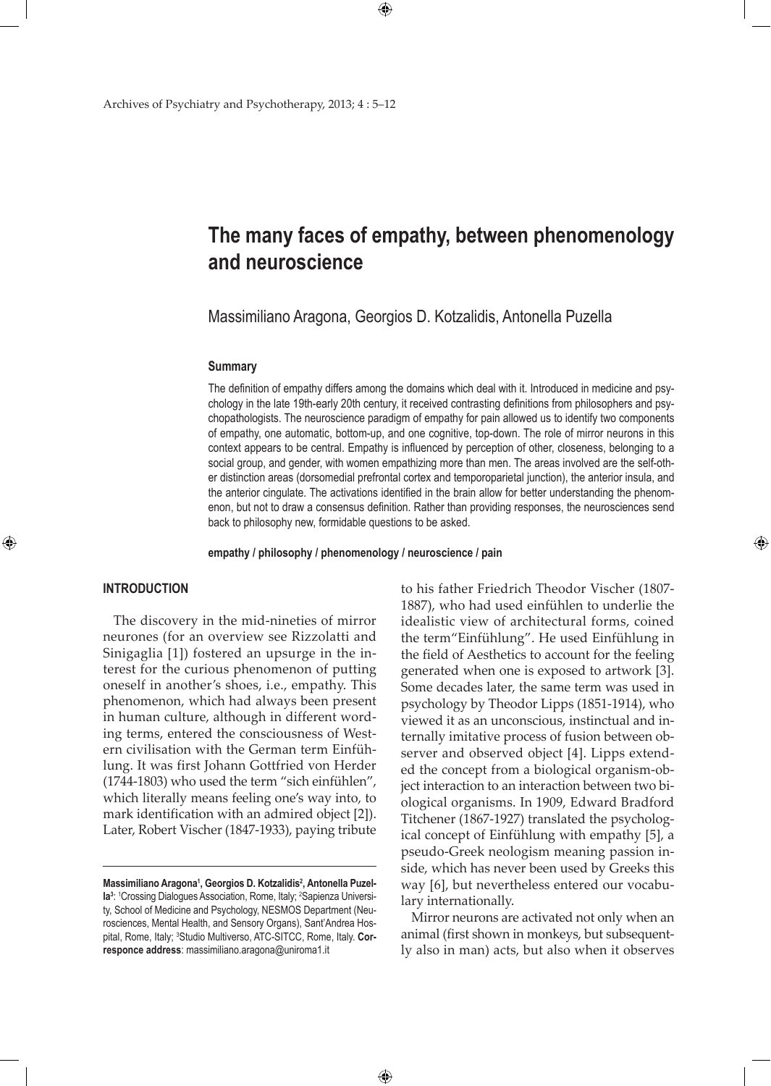# **The many faces of empathy, between phenomenology and neuroscience**

Massimiliano Aragona, Georgios D. Kotzalidis, Antonella Puzella

#### **Summary**

The definition of empathy differs among the domains which deal with it. Introduced in medicine and psychology in the late 19th-early 20th century, it received contrasting definitions from philosophers and psychopathologists. The neuroscience paradigm of empathy for pain allowed us to identify two components of empathy, one automatic, bottom-up, and one cognitive, top-down. The role of mirror neurons in this context appears to be central. Empathy is influenced by perception of other, closeness, belonging to a social group, and gender, with women empathizing more than men. The areas involved are the self-other distinction areas (dorsomedial prefrontal cortex and temporoparietal junction), the anterior insula, and the anterior cingulate. The activations identified in the brain allow for better understanding the phenomenon, but not to draw a consensus definition. Rather than providing responses, the neurosciences send back to philosophy new, formidable questions to be asked.

#### **empathy / philosophy / phenomenology / neuroscience / pain**

 $\bigoplus$ 

## **Introduction**

⊕

The discovery in the mid-nineties of mirror neurones (for an overview see Rizzolatti and Sinigaglia [1]) fostered an upsurge in the interest for the curious phenomenon of putting oneself in another's shoes, i.e., empathy. This phenomenon, which had always been present in human culture, although in different wording terms, entered the consciousness of Western civilisation with the German term Einfühlung. It was first Johann Gottfried von Herder (1744-1803) who used the term "sich einfühlen", which literally means feeling one's way into, to mark identification with an admired object [2]). Later, Robert Vischer (1847-1933), paying tribute

to his father Friedrich Theodor Vischer (1807- 1887), who had used einfühlen to underlie the idealistic view of architectural forms, coined the term"Einfühlung". He used Einfühlung in the field of Aesthetics to account for the feeling generated when one is exposed to artwork [3]. Some decades later, the same term was used in psychology by Theodor Lipps (1851-1914), who viewed it as an unconscious, instinctual and internally imitative process of fusion between observer and observed object [4]. Lipps extended the concept from a biological organism-object interaction to an interaction between two biological organisms. In 1909, Edward Bradford Titchener (1867-1927) translated the psychological concept of Einfühlung with empathy [5], a pseudo-Greek neologism meaning passion inside, which has never been used by Greeks this way [6], but nevertheless entered our vocabulary internationally.

⊕

Mirror neurons are activated not only when an animal (first shown in monkeys, but subsequently also in man) acts, but also when it observes

Massimiliano Aragona<sup>1</sup>, Georgios D. Kotzalidis<sup>2</sup>, Antonella Puzella<sup>3</sup>: <sup>1</sup>Crossing Dialogues Association, Rome, Italy; <sup>2</sup>Sapienza University, School of Medicine and Psychology, NESMOS Department (Neurosciences, Mental Health, and Sensory Organs), Sant'Andrea Hospital, Rome, Italy; <sup>3</sup> Studio Multiverso, ATC-SITCC, Rome, Italy. **Corresponce address**: massimiliano.aragona@uniroma1.it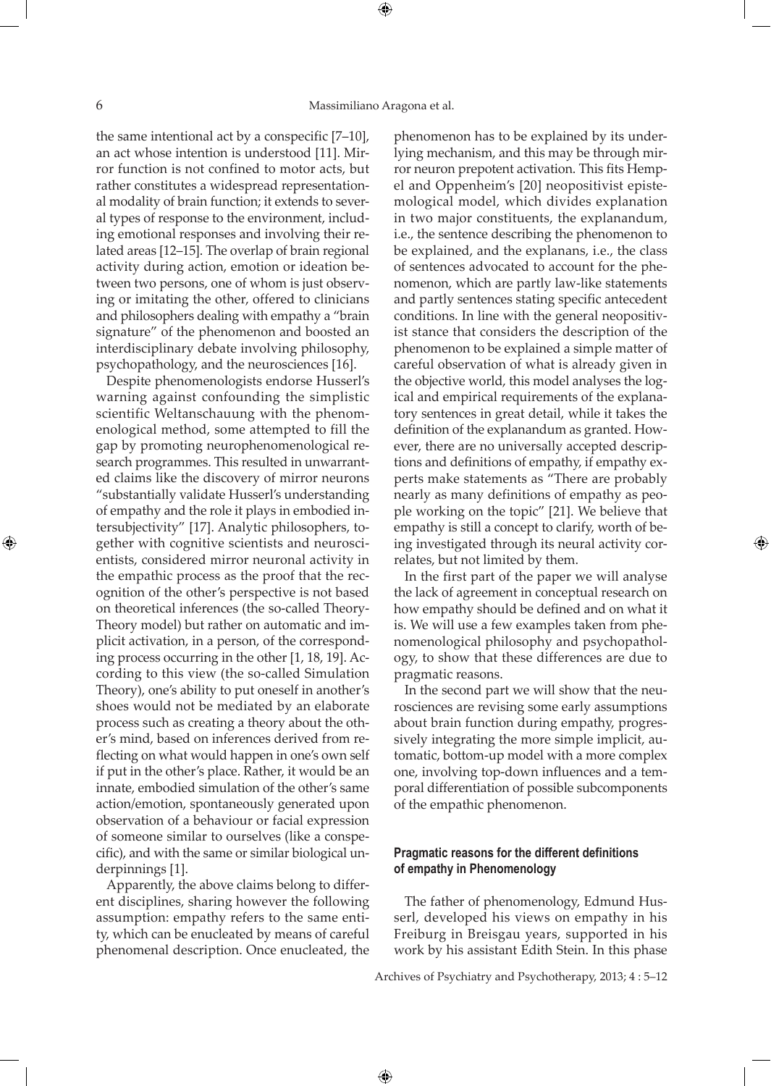⊕

the same intentional act by a conspecific [7–10], an act whose intention is understood [11]. Mirror function is not confined to motor acts, but rather constitutes a widespread representational modality of brain function; it extends to several types of response to the environment, including emotional responses and involving their related areas [12–15]. The overlap of brain regional activity during action, emotion or ideation between two persons, one of whom is just observing or imitating the other, offered to clinicians and philosophers dealing with empathy a "brain signature" of the phenomenon and boosted an interdisciplinary debate involving philosophy, psychopathology, and the neurosciences [16].

Despite phenomenologists endorse Husserl's warning against confounding the simplistic scientific Weltanschauung with the phenomenological method, some attempted to fill the gap by promoting neurophenomenological research programmes. This resulted in unwarranted claims like the discovery of mirror neurons "substantially validate Husserl's understanding of empathy and the role it plays in embodied intersubjectivity" [17]. Analytic philosophers, together with cognitive scientists and neuroscientists, considered mirror neuronal activity in the empathic process as the proof that the recognition of the other's perspective is not based on theoretical inferences (the so-called Theory-Theory model) but rather on automatic and implicit activation, in a person, of the corresponding process occurring in the other [1, 18, 19]. According to this view (the so-called Simulation Theory), one's ability to put oneself in another's shoes would not be mediated by an elaborate process such as creating a theory about the other's mind, based on inferences derived from reflecting on what would happen in one's own self if put in the other's place. Rather, it would be an innate, embodied simulation of the other's same action/emotion, spontaneously generated upon observation of a behaviour or facial expression of someone similar to ourselves (like a conspecific), and with the same or similar biological underpinnings [1].

Apparently, the above claims belong to different disciplines, sharing however the following assumption: empathy refers to the same entity, which can be enucleated by means of careful phenomenal description. Once enucleated, the

phenomenon has to be explained by its underlying mechanism, and this may be through mirror neuron prepotent activation. This fits Hempel and Oppenheim's [20] neopositivist epistemological model, which divides explanation in two major constituents, the explanandum, i.e., the sentence describing the phenomenon to be explained, and the explanans, i.e., the class of sentences advocated to account for the phenomenon, which are partly law-like statements and partly sentences stating specific antecedent conditions. In line with the general neopositivist stance that considers the description of the phenomenon to be explained a simple matter of careful observation of what is already given in the objective world, this model analyses the logical and empirical requirements of the explanatory sentences in great detail, while it takes the definition of the explanandum as granted. However, there are no universally accepted descriptions and definitions of empathy, if empathy experts make statements as "There are probably nearly as many definitions of empathy as people working on the topic" [21]. We believe that empathy is still a concept to clarify, worth of being investigated through its neural activity correlates, but not limited by them.

In the first part of the paper we will analyse the lack of agreement in conceptual research on how empathy should be defined and on what it is. We will use a few examples taken from phenomenological philosophy and psychopathology, to show that these differences are due to pragmatic reasons.

⊕

In the second part we will show that the neurosciences are revising some early assumptions about brain function during empathy, progressively integrating the more simple implicit, automatic, bottom-up model with a more complex one, involving top-down influences and a temporal differentiation of possible subcomponents of the empathic phenomenon.

# **Pragmatic reasons for the different definitions of empathy in Phenomenology**

The father of phenomenology, Edmund Husserl, developed his views on empathy in his Freiburg in Breisgau years, supported in his work by his assistant Edith Stein. In this phase

Archives of Psychiatry and Psychotherapy, 2013; 4 : 5–12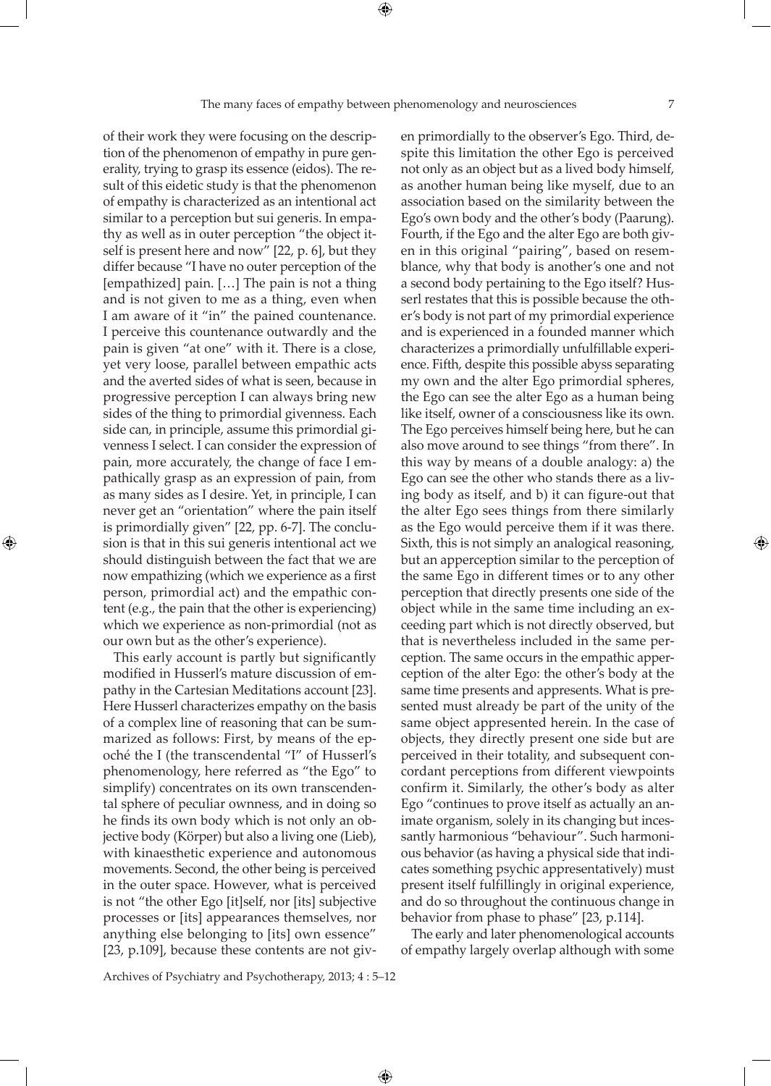of their work they were focusing on the description of the phenomenon of empathy in pure generality, trying to grasp its essence (eidos). The result of this eidetic study is that the phenomenon of empathy is characterized as an intentional act similar to a perception but sui generis. In empathy as well as in outer perception "the object itself is present here and now" [22, p. 6], but they differ because "I have no outer perception of the [empathized] pain. […] The pain is not a thing and is not given to me as a thing, even when I am aware of it "in" the pained countenance. I perceive this countenance outwardly and the pain is given "at one" with it. There is a close, yet very loose, parallel between empathic acts and the averted sides of what is seen, because in progressive perception I can always bring new sides of the thing to primordial givenness. Each side can, in principle, assume this primordial givenness I select. I can consider the expression of pain, more accurately, the change of face I empathically grasp as an expression of pain, from as many sides as I desire. Yet, in principle, I can never get an "orientation" where the pain itself is primordially given" [22, pp. 6-7]. The conclusion is that in this sui generis intentional act we should distinguish between the fact that we are now empathizing (which we experience as a first person, primordial act) and the empathic content (e.g., the pain that the other is experiencing) which we experience as non-primordial (not as our own but as the other's experience).

⊕

This early account is partly but significantly modified in Husserl's mature discussion of empathy in the Cartesian Meditations account [23]. Here Husserl characterizes empathy on the basis of a complex line of reasoning that can be summarized as follows: First, by means of the epoché the I (the transcendental "I" of Husserl's phenomenology, here referred as "the Ego" to simplify) concentrates on its own transcendental sphere of peculiar ownness, and in doing so he finds its own body which is not only an objective body (Körper) but also a living one (Lieb), with kinaesthetic experience and autonomous movements. Second, the other being is perceived in the outer space. However, what is perceived is not "the other Ego [it]self, nor [its] subjective processes or [its] appearances themselves, nor anything else belonging to [its] own essence" [23, p.109], because these contents are not given primordially to the observer's Ego. Third, despite this limitation the other Ego is perceived not only as an object but as a lived body himself, as another human being like myself, due to an association based on the similarity between the Ego's own body and the other's body (Paarung). Fourth, if the Ego and the alter Ego are both given in this original "pairing", based on resemblance, why that body is another's one and not a second body pertaining to the Ego itself? Husserl restates that this is possible because the other's body is not part of my primordial experience and is experienced in a founded manner which characterizes a primordially unfulfillable experience. Fifth, despite this possible abyss separating my own and the alter Ego primordial spheres, the Ego can see the alter Ego as a human being like itself, owner of a consciousness like its own. The Ego perceives himself being here, but he can also move around to see things "from there". In this way by means of a double analogy: a) the Ego can see the other who stands there as a living body as itself, and b) it can figure-out that the alter Ego sees things from there similarly as the Ego would perceive them if it was there. Sixth, this is not simply an analogical reasoning, but an apperception similar to the perception of the same Ego in different times or to any other perception that directly presents one side of the object while in the same time including an exceeding part which is not directly observed, but that is nevertheless included in the same perception. The same occurs in the empathic apperception of the alter Ego: the other's body at the same time presents and appresents. What is presented must already be part of the unity of the same object appresented herein. In the case of objects, they directly present one side but are perceived in their totality, and subsequent concordant perceptions from different viewpoints confirm it. Similarly, the other's body as alter Ego "continues to prove itself as actually an animate organism, solely in its changing but incessantly harmonious "behaviour". Such harmonious behavior (as having a physical side that indicates something psychic appresentatively) must present itself fulfillingly in original experience, and do so throughout the continuous change in behavior from phase to phase" [23, p.114].

The early and later phenomenological accounts of empathy largely overlap although with some

Archives of Psychiatry and Psychotherapy, 2013; 4 : 5–12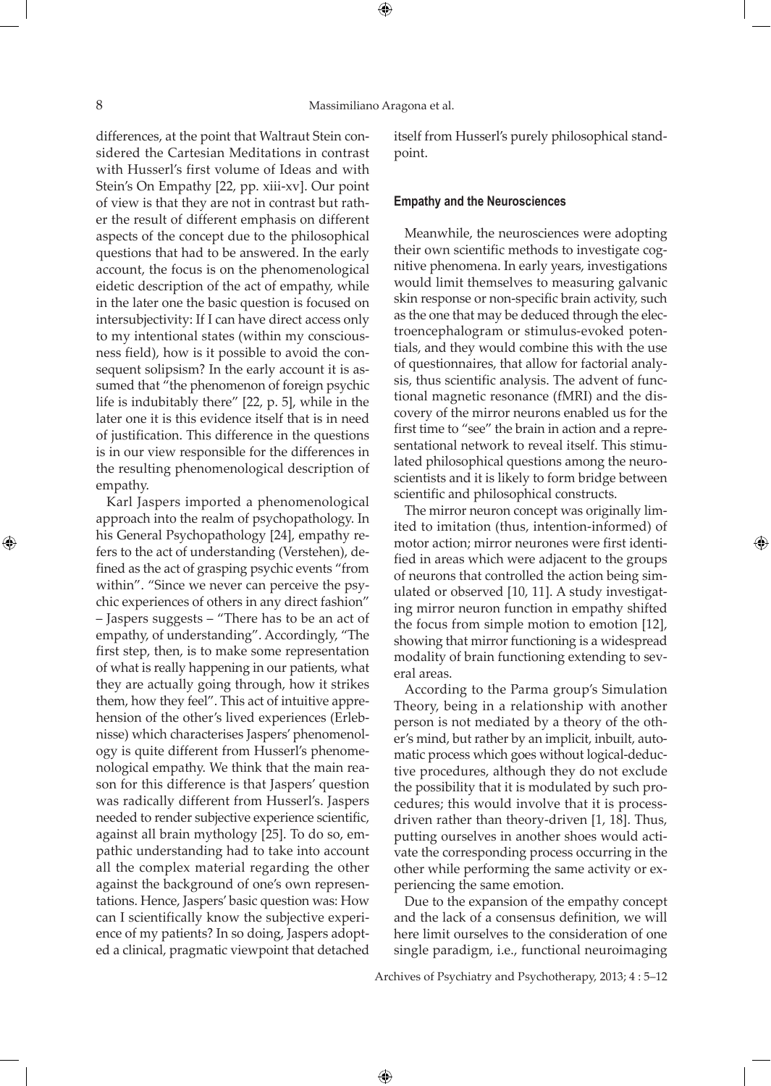differences, at the point that Waltraut Stein considered the Cartesian Meditations in contrast with Husserl's first volume of Ideas and with Stein's On Empathy [22, pp. xiii-xv]. Our point of view is that they are not in contrast but rather the result of different emphasis on different aspects of the concept due to the philosophical questions that had to be answered. In the early account, the focus is on the phenomenological eidetic description of the act of empathy, while in the later one the basic question is focused on intersubjectivity: If I can have direct access only to my intentional states (within my consciousness field), how is it possible to avoid the consequent solipsism? In the early account it is assumed that "the phenomenon of foreign psychic life is indubitably there" [22, p. 5], while in the later one it is this evidence itself that is in need of justification. This difference in the questions is in our view responsible for the differences in the resulting phenomenological description of empathy.

Karl Jaspers imported a phenomenological approach into the realm of psychopathology. In his General Psychopathology [24], empathy refers to the act of understanding (Verstehen), defined as the act of grasping psychic events "from within". "Since we never can perceive the psychic experiences of others in any direct fashion" – Jaspers suggests – "There has to be an act of empathy, of understanding". Accordingly, "The first step, then, is to make some representation of what is really happening in our patients, what they are actually going through, how it strikes them, how they feel". This act of intuitive apprehension of the other's lived experiences (Erlebnisse) which characterises Jaspers' phenomenology is quite different from Husserl's phenomenological empathy. We think that the main reason for this difference is that Jaspers' question was radically different from Husserl's. Jaspers needed to render subjective experience scientific, against all brain mythology [25]. To do so, empathic understanding had to take into account all the complex material regarding the other against the background of one's own representations. Hence, Jaspers' basic question was: How can I scientifically know the subjective experience of my patients? In so doing, Jaspers adopted a clinical, pragmatic viewpoint that detached

itself from Husserl's purely philosophical standpoint.

### **Empathy and the Neurosciences**

Meanwhile, the neurosciences were adopting their own scientific methods to investigate cognitive phenomena. In early years, investigations would limit themselves to measuring galvanic skin response or non-specific brain activity, such as the one that may be deduced through the electroencephalogram or stimulus-evoked potentials, and they would combine this with the use of questionnaires, that allow for factorial analysis, thus scientific analysis. The advent of functional magnetic resonance (fMRI) and the discovery of the mirror neurons enabled us for the first time to "see" the brain in action and a representational network to reveal itself. This stimulated philosophical questions among the neuroscientists and it is likely to form bridge between scientific and philosophical constructs.

The mirror neuron concept was originally limited to imitation (thus, intention-informed) of motor action; mirror neurones were first identified in areas which were adjacent to the groups of neurons that controlled the action being simulated or observed [10, 11]. A study investigating mirror neuron function in empathy shifted the focus from simple motion to emotion [12], showing that mirror functioning is a widespread modality of brain functioning extending to several areas.

According to the Parma group's Simulation Theory, being in a relationship with another person is not mediated by a theory of the other's mind, but rather by an implicit, inbuilt, automatic process which goes without logical-deductive procedures, although they do not exclude the possibility that it is modulated by such procedures; this would involve that it is processdriven rather than theory-driven [1, 18]. Thus, putting ourselves in another shoes would activate the corresponding process occurring in the other while performing the same activity or experiencing the same emotion.

Due to the expansion of the empathy concept and the lack of a consensus definition, we will here limit ourselves to the consideration of one single paradigm, i.e., functional neuroimaging

Archives of Psychiatry and Psychotherapy, 2013; 4 : 5–12

 $\bigoplus$ 

⊕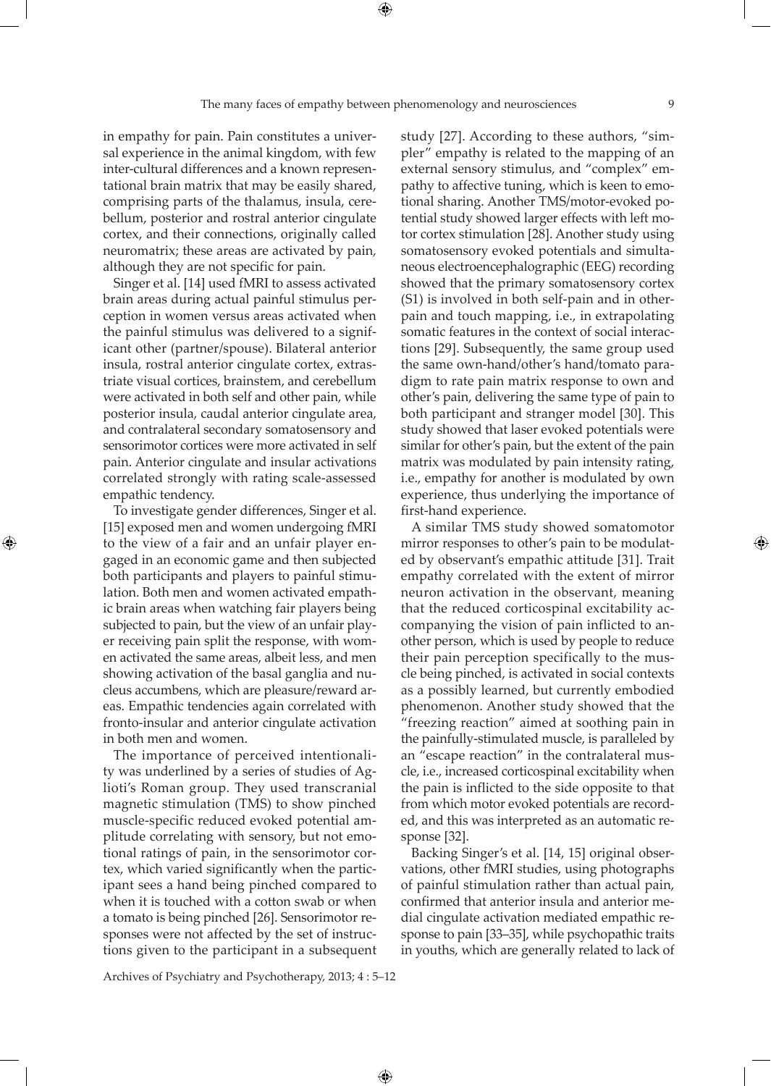in empathy for pain. Pain constitutes a universal experience in the animal kingdom, with few inter-cultural differences and a known representational brain matrix that may be easily shared, comprising parts of the thalamus, insula, cerebellum, posterior and rostral anterior cingulate cortex, and their connections, originally called neuromatrix; these areas are activated by pain, although they are not specific for pain.

Singer et al. [14] used fMRI to assess activated brain areas during actual painful stimulus perception in women versus areas activated when the painful stimulus was delivered to a significant other (partner/spouse). Bilateral anterior insula, rostral anterior cingulate cortex, extrastriate visual cortices, brainstem, and cerebellum were activated in both self and other pain, while posterior insula, caudal anterior cingulate area, and contralateral secondary somatosensory and sensorimotor cortices were more activated in self pain. Anterior cingulate and insular activations correlated strongly with rating scale-assessed empathic tendency.

To investigate gender differences, Singer et al. [15] exposed men and women undergoing fMRI to the view of a fair and an unfair player engaged in an economic game and then subjected both participants and players to painful stimulation. Both men and women activated empathic brain areas when watching fair players being subjected to pain, but the view of an unfair player receiving pain split the response, with women activated the same areas, albeit less, and men showing activation of the basal ganglia and nucleus accumbens, which are pleasure/reward areas. Empathic tendencies again correlated with fronto-insular and anterior cingulate activation in both men and women.

⊕

The importance of perceived intentionality was underlined by a series of studies of Aglioti's Roman group. They used transcranial magnetic stimulation (TMS) to show pinched muscle-specific reduced evoked potential amplitude correlating with sensory, but not emotional ratings of pain, in the sensorimotor cortex, which varied significantly when the participant sees a hand being pinched compared to when it is touched with a cotton swab or when a tomato is being pinched [26]. Sensorimotor responses were not affected by the set of instructions given to the participant in a subsequent

study [27]. According to these authors, "simpler" empathy is related to the mapping of an external sensory stimulus, and "complex" empathy to affective tuning, which is keen to emotional sharing. Another TMS/motor-evoked potential study showed larger effects with left motor cortex stimulation [28]. Another study using somatosensory evoked potentials and simultaneous electroencephalographic (EEG) recording showed that the primary somatosensory cortex (S1) is involved in both self-pain and in otherpain and touch mapping, i.e., in extrapolating somatic features in the context of social interactions [29]. Subsequently, the same group used the same own-hand/other's hand/tomato paradigm to rate pain matrix response to own and other's pain, delivering the same type of pain to both participant and stranger model [30]. This study showed that laser evoked potentials were similar for other's pain, but the extent of the pain matrix was modulated by pain intensity rating, i.e., empathy for another is modulated by own experience, thus underlying the importance of first-hand experience.

A similar TMS study showed somatomotor mirror responses to other's pain to be modulated by observant's empathic attitude [31]. Trait empathy correlated with the extent of mirror neuron activation in the observant, meaning that the reduced corticospinal excitability accompanying the vision of pain inflicted to another person, which is used by people to reduce their pain perception specifically to the muscle being pinched, is activated in social contexts as a possibly learned, but currently embodied phenomenon. Another study showed that the "freezing reaction" aimed at soothing pain in the painfully-stimulated muscle, is paralleled by an "escape reaction" in the contralateral muscle, i.e., increased corticospinal excitability when the pain is inflicted to the side opposite to that from which motor evoked potentials are recorded, and this was interpreted as an automatic response [32].

Backing Singer's et al. [14, 15] original observations, other fMRI studies, using photographs of painful stimulation rather than actual pain, confirmed that anterior insula and anterior medial cingulate activation mediated empathic response to pain [33–35], while psychopathic traits in youths, which are generally related to lack of

Archives of Psychiatry and Psychotherapy, 2013; 4 : 5–12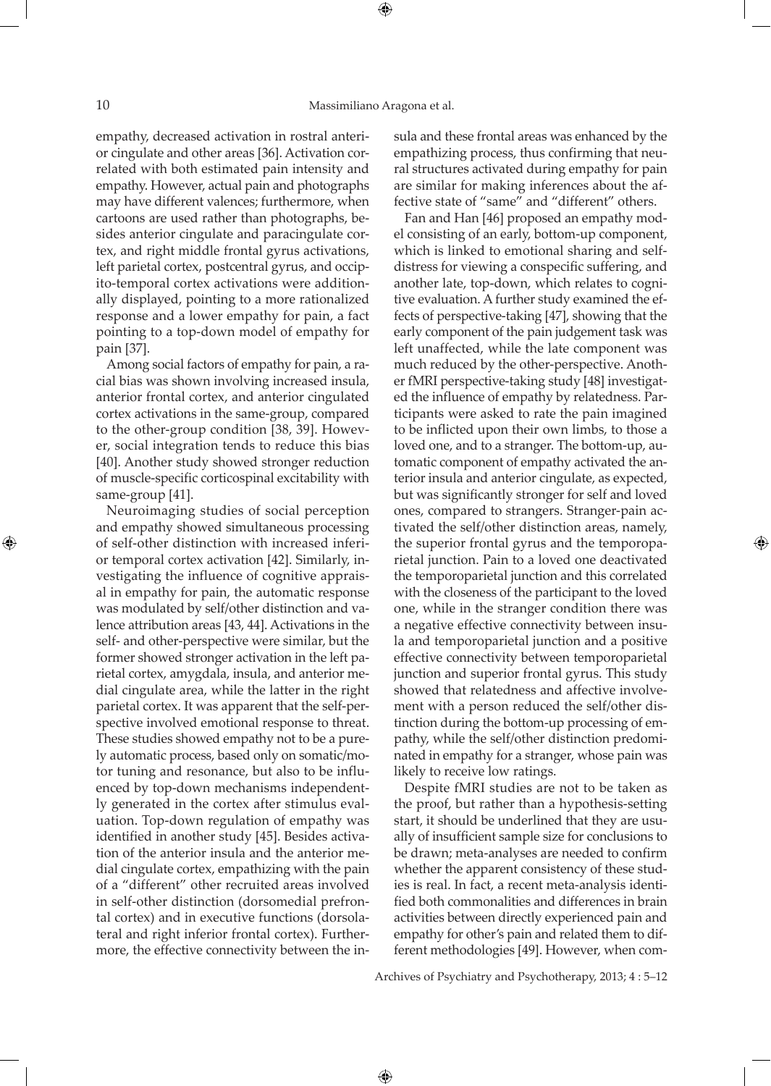empathy, decreased activation in rostral anterior cingulate and other areas [36]. Activation correlated with both estimated pain intensity and empathy. However, actual pain and photographs may have different valences; furthermore, when cartoons are used rather than photographs, besides anterior cingulate and paracingulate cortex, and right middle frontal gyrus activations, left parietal cortex, postcentral gyrus, and occipito-temporal cortex activations were additionally displayed, pointing to a more rationalized response and a lower empathy for pain, a fact pointing to a top-down model of empathy for pain [37].

Among social factors of empathy for pain, a racial bias was shown involving increased insula, anterior frontal cortex, and anterior cingulated cortex activations in the same-group, compared to the other-group condition [38, 39]. However, social integration tends to reduce this bias [40]. Another study showed stronger reduction of muscle-specific corticospinal excitability with same-group [41].

Neuroimaging studies of social perception and empathy showed simultaneous processing of self-other distinction with increased inferior temporal cortex activation [42]. Similarly, investigating the influence of cognitive appraisal in empathy for pain, the automatic response was modulated by self/other distinction and valence attribution areas [43, 44]. Activations in the self- and other-perspective were similar, but the former showed stronger activation in the left parietal cortex, amygdala, insula, and anterior medial cingulate area, while the latter in the right parietal cortex. It was apparent that the self-perspective involved emotional response to threat. These studies showed empathy not to be a purely automatic process, based only on somatic/motor tuning and resonance, but also to be influenced by top-down mechanisms independently generated in the cortex after stimulus evaluation. Top-down regulation of empathy was identified in another study [45]. Besides activation of the anterior insula and the anterior medial cingulate cortex, empathizing with the pain of a "different" other recruited areas involved in self-other distinction (dorsomedial prefrontal cortex) and in executive functions (dorsolateral and right inferior frontal cortex). Furthermore, the effective connectivity between the insula and these frontal areas was enhanced by the empathizing process, thus confirming that neural structures activated during empathy for pain are similar for making inferences about the affective state of "same" and "different" others.

Fan and Han [46] proposed an empathy model consisting of an early, bottom-up component, which is linked to emotional sharing and selfdistress for viewing a conspecific suffering, and another late, top-down, which relates to cognitive evaluation. A further study examined the effects of perspective-taking [47], showing that the early component of the pain judgement task was left unaffected, while the late component was much reduced by the other-perspective. Another fMRI perspective-taking study [48] investigated the influence of empathy by relatedness. Participants were asked to rate the pain imagined to be inflicted upon their own limbs, to those a loved one, and to a stranger. The bottom-up, automatic component of empathy activated the anterior insula and anterior cingulate, as expected, but was significantly stronger for self and loved ones, compared to strangers. Stranger-pain activated the self/other distinction areas, namely, the superior frontal gyrus and the temporoparietal junction. Pain to a loved one deactivated the temporoparietal junction and this correlated with the closeness of the participant to the loved one, while in the stranger condition there was a negative effective connectivity between insula and temporoparietal junction and a positive effective connectivity between temporoparietal junction and superior frontal gyrus. This study showed that relatedness and affective involvement with a person reduced the self/other distinction during the bottom-up processing of empathy, while the self/other distinction predominated in empathy for a stranger, whose pain was likely to receive low ratings.

Despite fMRI studies are not to be taken as the proof, but rather than a hypothesis-setting start, it should be underlined that they are usually of insufficient sample size for conclusions to be drawn; meta-analyses are needed to confirm whether the apparent consistency of these studies is real. In fact, a recent meta-analysis identified both commonalities and differences in brain activities between directly experienced pain and empathy for other's pain and related them to different methodologies [49]. However, when com-

Archives of Psychiatry and Psychotherapy, 2013; 4 : 5–12

⊕

⊕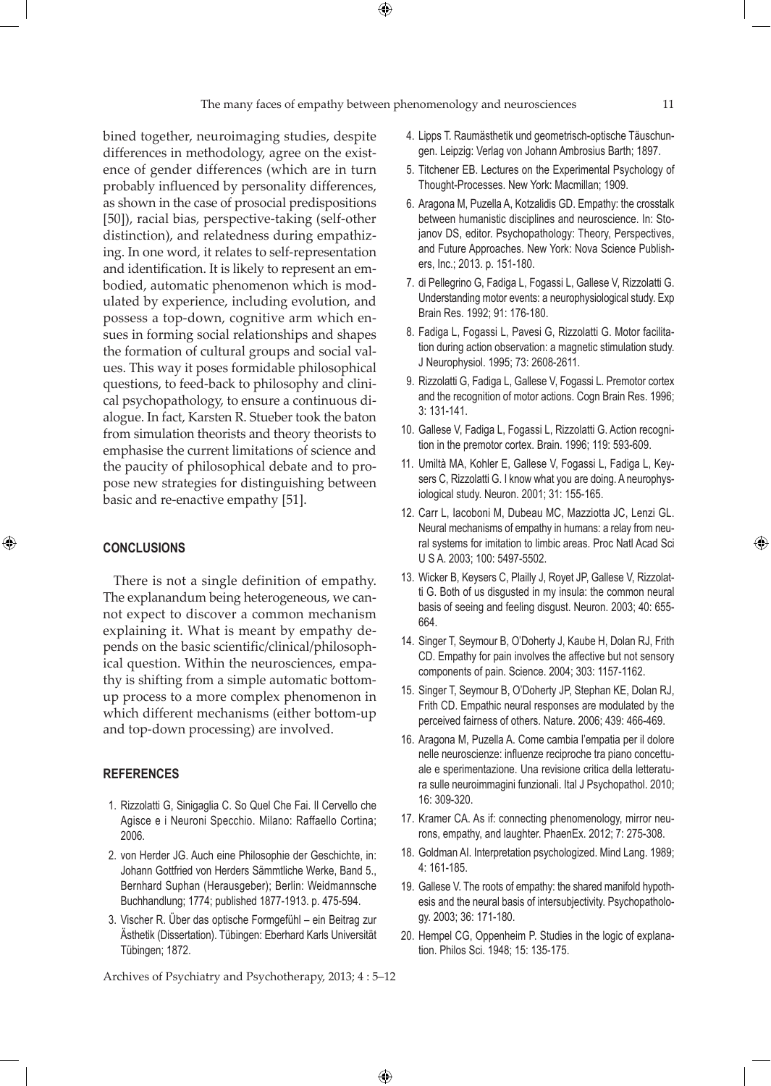$\bigoplus$ 

bined together, neuroimaging studies, despite differences in methodology, agree on the existence of gender differences (which are in turn probably influenced by personality differences, as shown in the case of prosocial predispositions [50]), racial bias, perspective-taking (self-other distinction), and relatedness during empathizing. In one word, it relates to self-representation and identification. It is likely to represent an embodied, automatic phenomenon which is modulated by experience, including evolution, and possess a top-down, cognitive arm which ensues in forming social relationships and shapes the formation of cultural groups and social values. This way it poses formidable philosophical questions, to feed-back to philosophy and clinical psychopathology, to ensure a continuous dialogue. In fact, Karsten R. Stueber took the baton from simulation theorists and theory theorists to emphasise the current limitations of science and the paucity of philosophical debate and to propose new strategies for distinguishing between basic and re-enactive empathy [51].

# **Conclusions**

⊕

There is not a single definition of empathy. The explanandum being heterogeneous, we cannot expect to discover a common mechanism explaining it. What is meant by empathy depends on the basic scientific/clinical/philosophical question. Within the neurosciences, empathy is shifting from a simple automatic bottomup process to a more complex phenomenon in which different mechanisms (either bottom-up and top-down processing) are involved.

## **References**

- 1. Rizzolatti G, Sinigaglia C. So Quel Che Fai. Il Cervello che Agisce e i Neuroni Specchio. Milano: Raffaello Cortina; 2006.
- 2. von Herder JG. Auch eine Philosophie der Geschichte, in: Johann Gottfried von Herders Sämmtliche Werke, Band 5., Bernhard Suphan (Herausgeber); Berlin: Weidmannsche Buchhandlung; 1774; published 1877-1913. p. 475-594.
- 3. Vischer R. Über das optische Formgefühl ein Beitrag zur Ästhetik (Dissertation). Tübingen: Eberhard Karls Universität Tübingen; 1872.

Archives of Psychiatry and Psychotherapy, 2013; 4 : 5–12

- 4. Lipps T. Raumästhetik und geometrisch-optische Täuschungen. Leipzig: Verlag von Johann Ambrosius Barth; 1897.
- 5. Titchener EB. Lectures on the Experimental Psychology of Thought-Processes. New York: Macmillan; 1909.
- 6. Aragona M, Puzella A, Kotzalidis GD. Empathy: the crosstalk between humanistic disciplines and neuroscience. In: Stojanov DS, editor. Psychopathology: Theory, Perspectives, and Future Approaches. New York: Nova Science Publishers, Inc.; 2013. p. 151-180.
- 7. di Pellegrino G, Fadiga L, Fogassi L, Gallese V, Rizzolatti G. Understanding motor events: a neurophysiological study. Exp Brain Res. 1992; 91: 176-180.
- 8. Fadiga L, Fogassi L, Pavesi G, Rizzolatti G. Motor facilitation during action observation: a magnetic stimulation study. J Neurophysiol. 1995; 73: 2608-2611.
- 9. Rizzolatti G, Fadiga L, Gallese V, Fogassi L. Premotor cortex and the recognition of motor actions. Cogn Brain Res. 1996; 3: 131-141.
- 10. Gallese V, Fadiga L, Fogassi L, Rizzolatti G. Action recognition in the premotor cortex. Brain. 1996; 119: 593-609.
- 11. Umiltà MA, Kohler E, Gallese V, Fogassi L, Fadiga L, Keysers C, Rizzolatti G. I know what you are doing. A neurophysiological study. Neuron. 2001; 31: 155-165.
- 12. Carr L, Iacoboni M, Dubeau MC, Mazziotta JC, Lenzi GL. Neural mechanisms of empathy in humans: a relay from neural systems for imitation to limbic areas. Proc Natl Acad Sci U S A. 2003; 100: 5497-5502.
- 13. Wicker B, Keysers C, Plailly J, Royet JP, Gallese V, Rizzolatti G. Both of us disgusted in my insula: the common neural basis of seeing and feeling disgust. Neuron. 2003; 40: 655- 664.
- 14. Singer T, Seymour B, O'Doherty J, Kaube H, Dolan RJ, Frith CD. Empathy for pain involves the affective but not sensory components of pain. Science. 2004; 303: 1157-1162.
- 15. Singer T, Seymour B, O'Doherty JP, Stephan KE, Dolan RJ, Frith CD. Empathic neural responses are modulated by the perceived fairness of others. Nature. 2006; 439: 466-469.
- 16. Aragona M, Puzella A. Come cambia l'empatia per il dolore nelle neuroscienze: influenze reciproche tra piano concettuale e sperimentazione. Una revisione critica della letteratura sulle neuroimmagini funzionali. Ital J Psychopathol. 2010; 16: 309-320.
- 17. Kramer CA. As if: connecting phenomenology, mirror neurons, empathy, and laughter. PhaenEx. 2012; 7: 275-308.
- 18. Goldman AI. Interpretation psychologized. Mind Lang. 1989; 4: 161-185.
- 19. Gallese V. The roots of empathy: the shared manifold hypothesis and the neural basis of intersubjectivity. Psychopathology. 2003; 36: 171-180.
- 20. Hempel CG, Oppenheim P. Studies in the logic of explanation. Philos Sci. 1948; 15: 135-175.